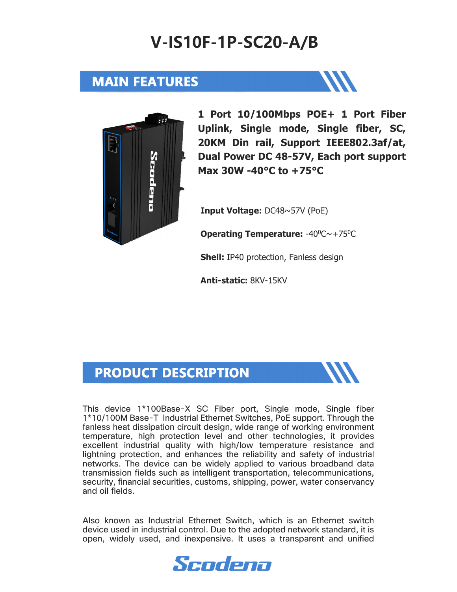### **V-IS10F-1P-SC20-A/B**

#### **MAIN FEATURES**





**1 Port 10/100Mbps POE+ 1 Port Fiber Uplink, Single mode, Single fiber, SC, 20KM Din rail, Support IEEE802.3af/at, Dual Power DC 48-57V, Each port support Max 30W -40°C to +75°C** 

**Input Voltage:** DC48~57V (PoE)

**Operating Temperature: -40<sup>0</sup>C~+75<sup>0</sup>C** 

**Shell:** IP40 protection, Fanless design

**Anti-static:** 8KV-15KV

#### **PRODUCT DESCRIPTION**

This device 1\*100Base-X SC Fiber port, Single mode, Single fiber 1\*10/100M Base-T Industrial Ethernet Switches, PoE support. Through the fanless heat dissipation circuit design, wide range of working environment temperature, high protection level and other technologies, it provides excellent industrial quality with high/low temperature resistance and lightning protection, and enhances the reliability and safety of industrial networks. The device can be widely applied to various broadband data transmission fields such as intelligent transportation, telecommunications, security, financial securities, customs, shipping, power, water conservancy and oil fields.

Also known as Industrial Ethernet Switch, which is an Ethernet switch device used in industrial control. Due to the adopted network standard, it is open, widely used, and inexpensive. It uses a transparent and unified

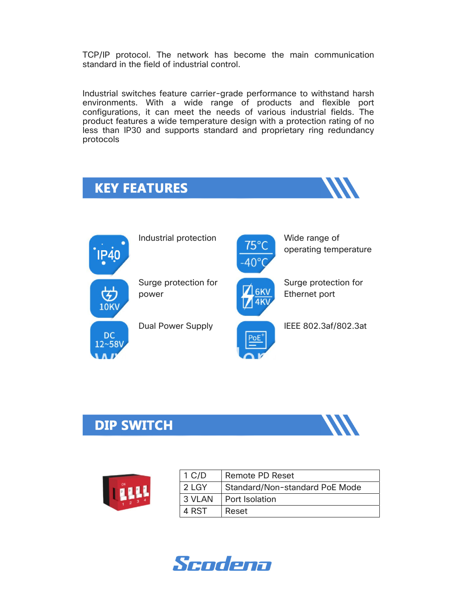TCP/IP protocol. The network has become the main communication standard in the field of industrial control.

Industrial switches feature carrier-grade performance to withstand harsh environments. With a wide range of products and flexible port configurations, it can meet the needs of various industrial fields. The product features a wide temperature design with a protection rating of no less than IP30 and supports standard and proprietary ring redundancy protocols





Industrial protection **1996** Wide range of Wide range of





operating temperature



Surge protection for Ethernet port

Dual Power Supply **IEEE 802.3af/802.3at** 

### **DIP SWITCH**





| $1 \text{ C/D}$ | <b>Remote PD Reset</b>         |
|-----------------|--------------------------------|
| 2 LGY           | Standard/Non-standard PoE Mode |
| 3 VLAN          | I Port Isolation               |
| 4 RST           | Reset                          |

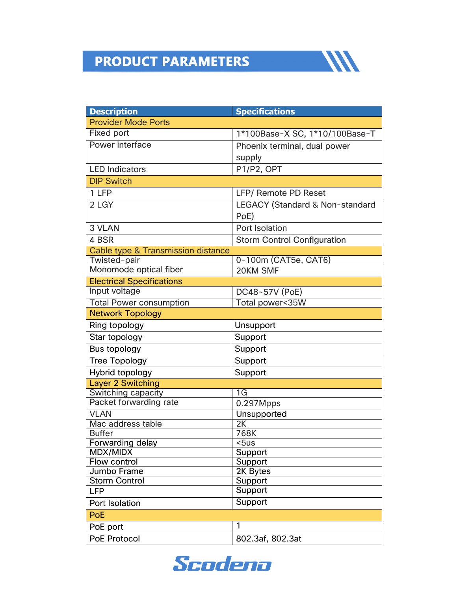# **PRODUCT PARAMETERS**

| <b>Description</b>                            | <b>Specifications</b>              |  |  |  |
|-----------------------------------------------|------------------------------------|--|--|--|
| <b>Provider Mode Ports</b>                    |                                    |  |  |  |
| <b>Fixed port</b>                             | 1*100Base-X SC, 1*10/100Base-T     |  |  |  |
| Power interface                               | Phoenix terminal, dual power       |  |  |  |
|                                               | supply                             |  |  |  |
| <b>LED Indicators</b>                         | P1/P2, OPT                         |  |  |  |
| <b>DIP Switch</b>                             |                                    |  |  |  |
| 1 LFP                                         | <b>LFP/ Remote PD Reset</b>        |  |  |  |
| 2 LGY                                         | LEGACY (Standard & Non-standard    |  |  |  |
|                                               | PoE)                               |  |  |  |
| 3 VLAN                                        | Port Isolation                     |  |  |  |
| 4 BSR                                         | <b>Storm Control Configuration</b> |  |  |  |
| <b>Cable type &amp; Transmission distance</b> |                                    |  |  |  |
| Twisted-pair                                  | 0-100m (CAT5e, CAT6)               |  |  |  |
| Monomode optical fiber                        | 20KM SMF                           |  |  |  |
| <b>Electrical Specifications</b>              |                                    |  |  |  |
| Input voltage                                 | DC48~57V (PoE)                     |  |  |  |
| <b>Total Power consumption</b>                | Total power<35W                    |  |  |  |
| <b>Network Topology</b>                       |                                    |  |  |  |
| Ring topology                                 | Unsupport                          |  |  |  |
| Star topology                                 | Support                            |  |  |  |
| Bus topology                                  | Support                            |  |  |  |
| <b>Tree Topology</b>                          | Support                            |  |  |  |
| Hybrid topology                               | Support                            |  |  |  |
| <b>Layer 2 Switching</b>                      |                                    |  |  |  |
| Switching capacity                            | 1G                                 |  |  |  |
| Packet forwarding rate                        | 0.297Mpps                          |  |  |  |
| <b>VLAN</b>                                   | Unsupported                        |  |  |  |
| Mac address table                             | 2K                                 |  |  |  |
| <b>Buffer</b>                                 | 768K                               |  |  |  |
| <b>Forwarding delay</b>                       | $\overline{\text{5}}$ us           |  |  |  |
| MDX/MIDX                                      | Support                            |  |  |  |
| Flow control                                  | Support                            |  |  |  |
| Jumbo Frame                                   | 2K Bytes                           |  |  |  |
| <b>Storm Control</b>                          | Support                            |  |  |  |
| LFP                                           | Support                            |  |  |  |
| Port Isolation                                | Support                            |  |  |  |
| <b>PoE</b>                                    |                                    |  |  |  |
| PoE port                                      | 1                                  |  |  |  |
| <b>PoE Protocol</b>                           | 802.3af, 802.3at                   |  |  |  |

**WW** 

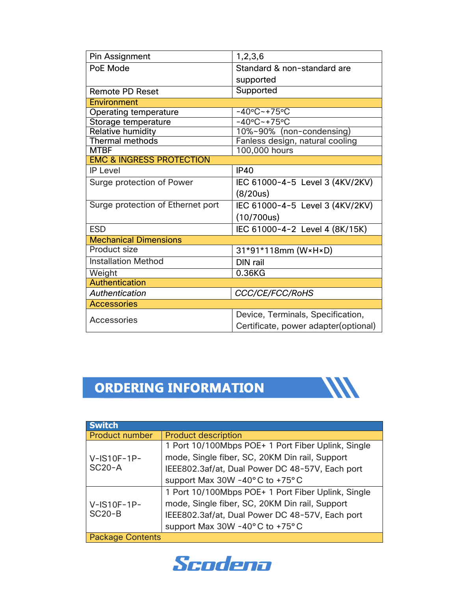| Pin Assignment                      | 1,2,3,6                                                                    |  |  |  |
|-------------------------------------|----------------------------------------------------------------------------|--|--|--|
| PoE Mode                            | Standard & non-standard are                                                |  |  |  |
|                                     | supported                                                                  |  |  |  |
| <b>Remote PD Reset</b>              | Supported                                                                  |  |  |  |
| Environment                         |                                                                            |  |  |  |
| <b>Operating temperature</b>        | $-40^{\circ}$ C ~ +75°C                                                    |  |  |  |
| Storage temperature                 | $-40^{\circ}$ C ~ +75°C                                                    |  |  |  |
| Relative humidity                   | 10%~90% (non-condensing)                                                   |  |  |  |
| <b>Thermal methods</b>              | Fanless design, natural cooling                                            |  |  |  |
| <b>MTBF</b>                         | 100,000 hours                                                              |  |  |  |
| <b>EMC &amp; INGRESS PROTECTION</b> |                                                                            |  |  |  |
| <b>IP Level</b>                     | <b>IP40</b>                                                                |  |  |  |
| Surge protection of Power           | IEC 61000-4-5 Level 3 (4KV/2KV)                                            |  |  |  |
|                                     | (8/20us)                                                                   |  |  |  |
| Surge protection of Ethernet port   | IEC 61000-4-5 Level 3 (4KV/2KV)                                            |  |  |  |
|                                     | (10/700us)                                                                 |  |  |  |
| <b>ESD</b>                          | IEC 61000-4-2 Level 4 (8K/15K)                                             |  |  |  |
| <b>Mechanical Dimensions</b>        |                                                                            |  |  |  |
| <b>Product size</b>                 | 31*91*118mm (W×H×D)                                                        |  |  |  |
| <b>Installation Method</b>          | DIN rail                                                                   |  |  |  |
| Weight                              | 0.36KG                                                                     |  |  |  |
| <b>Authentication</b>               |                                                                            |  |  |  |
| Authentication                      | CCC/CE/FCC/RoHS                                                            |  |  |  |
| <b>Accessories</b>                  |                                                                            |  |  |  |
| Accessories                         | Device, Terminals, Specification,<br>Certificate, power adapter (optional) |  |  |  |

### ORDERING INFORMATION



| <b>Switch</b>           |                                                    |  |  |  |
|-------------------------|----------------------------------------------------|--|--|--|
| <b>Product number</b>   | <b>Product description</b>                         |  |  |  |
|                         | 1 Port 10/100Mbps POE+ 1 Port Fiber Uplink, Single |  |  |  |
| $V$ -IS10F-1P-          | mode, Single fiber, SC, 20KM Din rail, Support     |  |  |  |
| <b>SC20-A</b>           | IEEE802.3af/at, Dual Power DC 48-57V, Each port    |  |  |  |
|                         | support Max 30W -40°C to +75°C                     |  |  |  |
|                         | 1 Port 10/100Mbps POE+ 1 Port Fiber Uplink, Single |  |  |  |
| $V$ -IS10F-1P-          | mode, Single fiber, SC, 20KM Din rail, Support     |  |  |  |
| <b>SC20-B</b>           | IEEE802.3af/at, Dual Power DC 48-57V, Each port    |  |  |  |
|                         | support Max 30W -40°C to +75°C                     |  |  |  |
| <b>Package Contents</b> |                                                    |  |  |  |